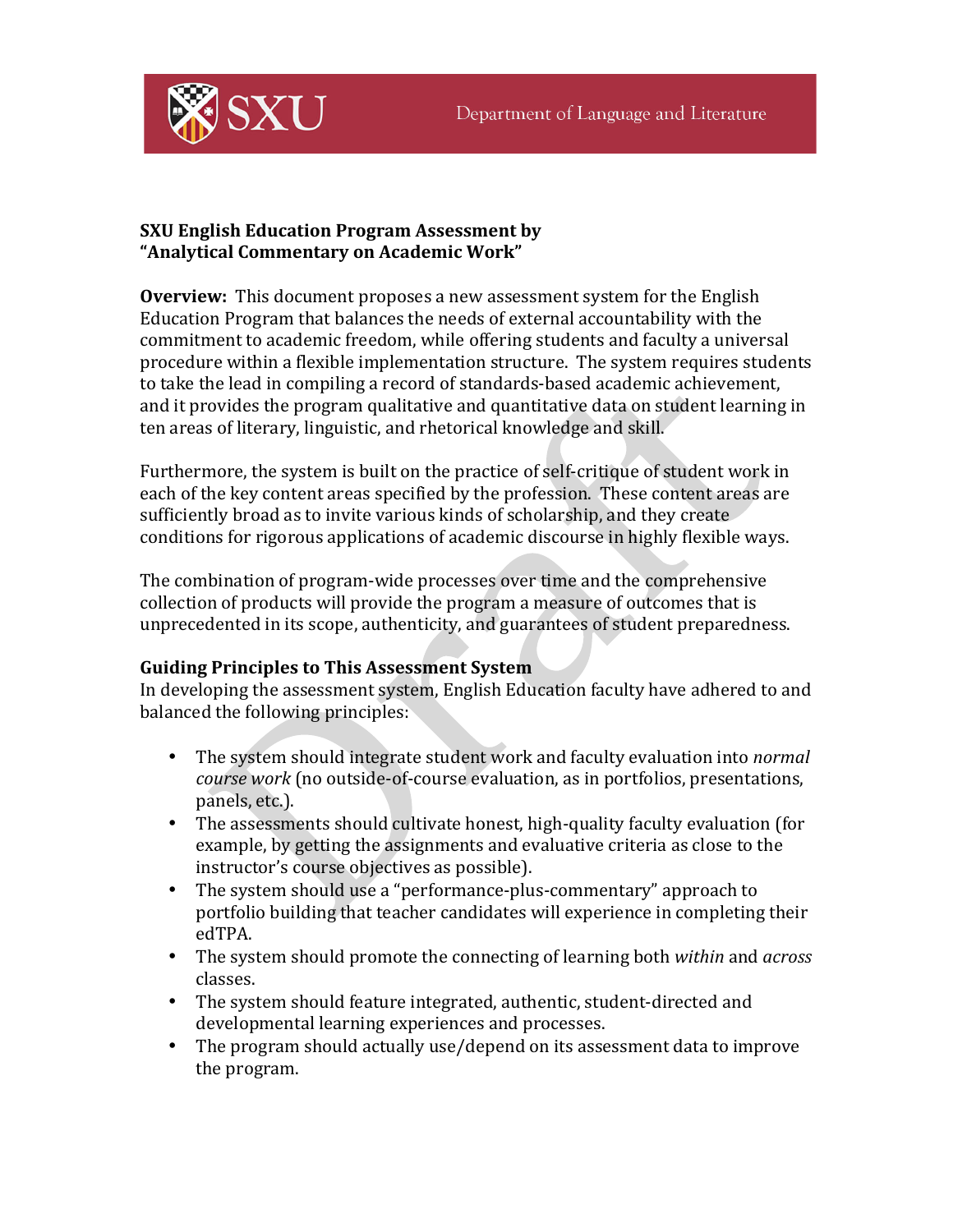

## **SXU English Education Program Assessment by "Analytical Commentary on Academic Work"**

**Overview:** This document proposes a new assessment system for the English Education Program that balances the needs of external accountability with the commitment to academic freedom, while offering students and faculty a universal procedure within a flexible implementation structure. The system requires students to take the lead in compiling a record of standards-based academic achievement, and it provides the program qualitative and quantitative data on student learning in ten areas of literary, linguistic, and rhetorical knowledge and skill.

Furthermore, the system is built on the practice of self-critique of student work in each of the key content areas specified by the profession. These content areas are sufficiently broad as to invite various kinds of scholarship, and they create conditions for rigorous applications of academic discourse in highly flexible ways.

The combination of program-wide processes over time and the comprehensive collection of products will provide the program a measure of outcomes that is unprecedented in its scope, authenticity, and guarantees of student preparedness.

# **Guiding Principles to This Assessment System**

In developing the assessment system, English Education faculty have adhered to and balanced the following principles:

- The system should integrate student work and faculty evaluation into *normal course work* (no outside-of-course evaluation, as in portfolios, presentations, panels, etc.).
- The assessments should cultivate honest, high-quality faculty evaluation (for example, by getting the assignments and evaluative criteria as close to the instructor's course objectives as possible).
- The system should use a "performance-plus-commentary" approach to portfolio building that teacher candidates will experience in completing their edTPA.
- The system should promote the connecting of learning both *within* and *across* classes.
- The system should feature integrated, authentic, student-directed and developmental learning experiences and processes.
- The program should actually use/depend on its assessment data to improve the program.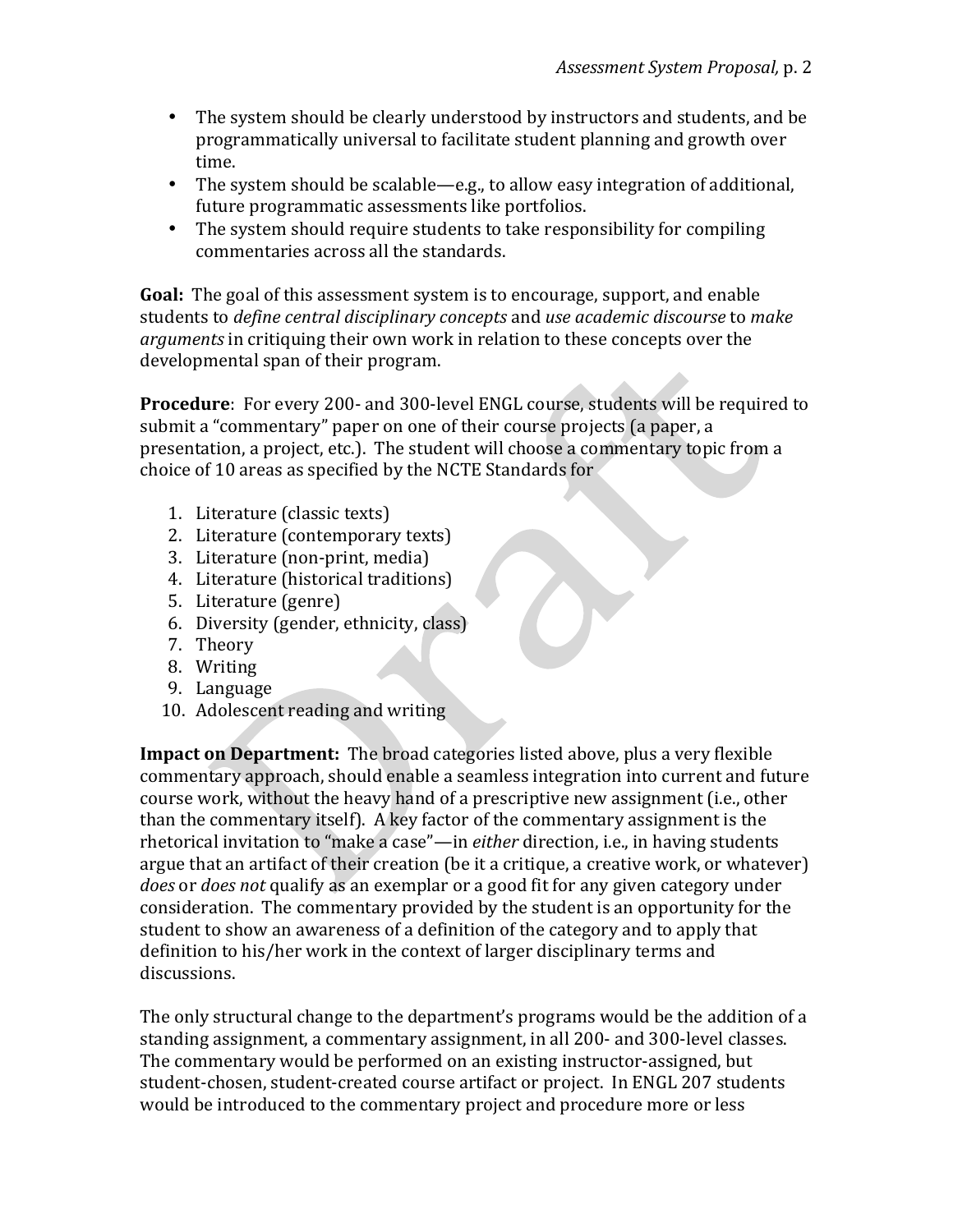- The system should be clearly understood by instructors and students, and be programmatically universal to facilitate student planning and growth over time.
- The system should be scalable—e.g., to allow easy integration of additional, future programmatic assessments like portfolios.
- The system should require students to take responsibility for compiling commentaries across all the standards.

**Goal:** The goal of this assessment system is to encourage, support, and enable students to *define central disciplinary concepts* and *use academic discourse* to *make* arguments in critiquing their own work in relation to these concepts over the developmental span of their program.

**Procedure**: For every 200- and 300-level ENGL course, students will be required to submit a "commentary" paper on one of their course projects (a paper, a presentation, a project, etc.). The student will choose a commentary topic from a choice of 10 areas as specified by the NCTE Standards for

- 1. Literature (classic texts)
- 2. Literature (contemporary texts)
- 3. Literature (non-print, media)
- 4. Literature (historical traditions)
- 5. Literature (genre)
- 6. Diversity (gender, ethnicity, class)
- 7. Theory
- 8. Writing
- 9. Language
- 10. Adolescent reading and writing

**Impact on Department:** The broad categories listed above, plus a very flexible commentary approach, should enable a seamless integration into current and future course work, without the heavy hand of a prescriptive new assignment (i.e., other than the commentary itself). A key factor of the commentary assignment is the rhetorical invitation to "make a case"—in *either* direction, i.e., in having students argue that an artifact of their creation (be it a critique, a creative work, or whatever) *does* or *does* not qualify as an exemplar or a good fit for any given category under consideration. The commentary provided by the student is an opportunity for the student to show an awareness of a definition of the category and to apply that definition to his/her work in the context of larger disciplinary terms and discussions.

The only structural change to the department's programs would be the addition of a standing assignment, a commentary assignment, in all 200- and 300-level classes. The commentary would be performed on an existing instructor-assigned, but student-chosen, student-created course artifact or project. In ENGL 207 students would be introduced to the commentary project and procedure more or less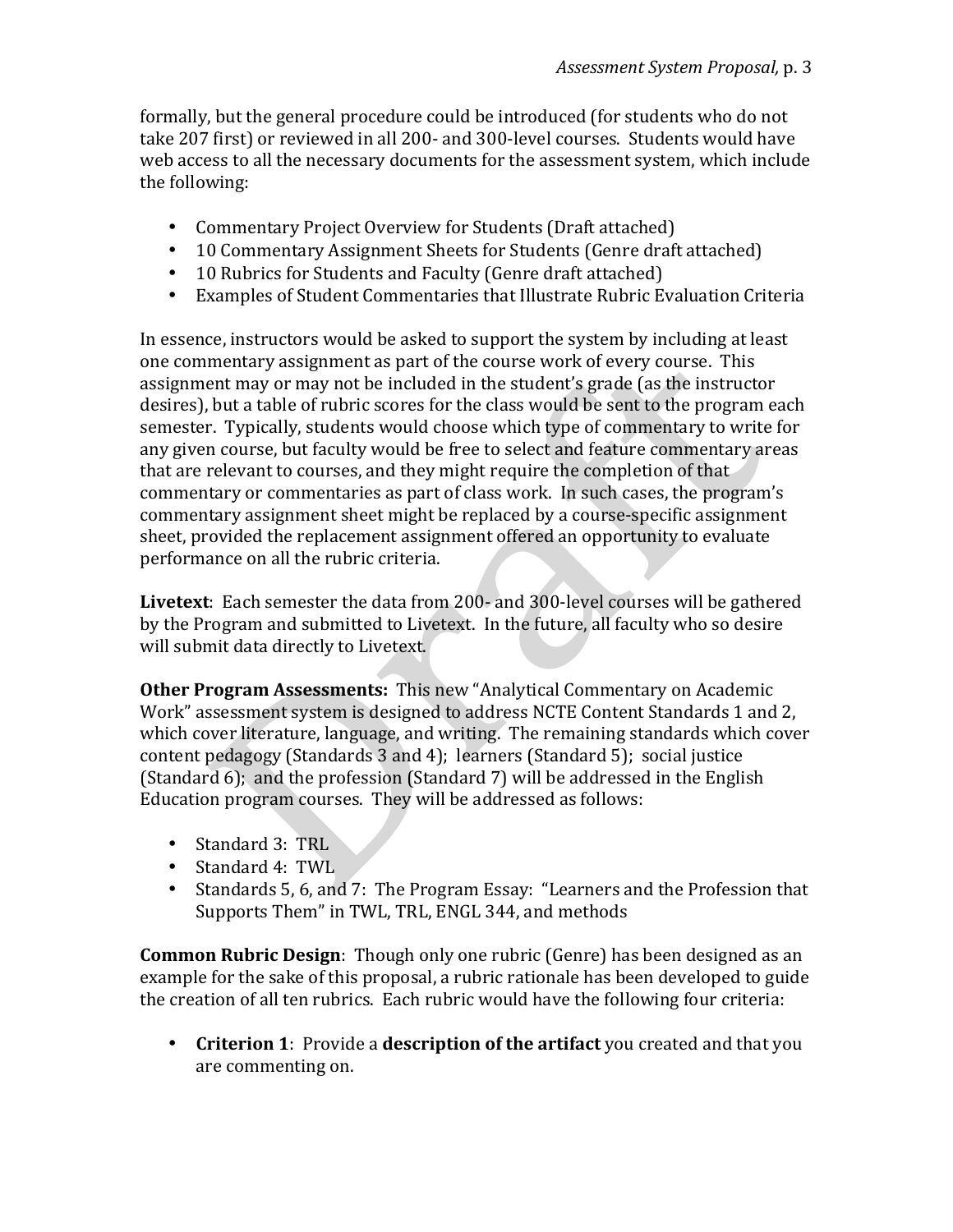formally, but the general procedure could be introduced (for students who do not take 207 first) or reviewed in all 200- and 300-level courses. Students would have web access to all the necessary documents for the assessment system, which include the following:

- Commentary Project Overview for Students (Draft attached)
- 10 Commentary Assignment Sheets for Students (Genre draft attached)
- 10 Rubrics for Students and Faculty (Genre draft attached)
- Examples of Student Commentaries that Illustrate Rubric Evaluation Criteria

In essence, instructors would be asked to support the system by including at least one commentary assignment as part of the course work of every course. This assignment may or may not be included in the student's grade (as the instructor desires), but a table of rubric scores for the class would be sent to the program each semester. Typically, students would choose which type of commentary to write for any given course, but faculty would be free to select and feature commentary areas that are relevant to courses, and they might require the completion of that commentary or commentaries as part of class work. In such cases, the program's commentary assignment sheet might be replaced by a course-specific assignment sheet, provided the replacement assignment offered an opportunity to evaluate performance on all the rubric criteria.

**Livetext**: Each semester the data from 200- and 300-level courses will be gathered by the Program and submitted to Livetext. In the future, all faculty who so desire will submit data directly to Livetext.

**Other Program Assessments:** This new "Analytical Commentary on Academic Work" assessment system is designed to address NCTE Content Standards 1 and 2, which cover literature, language, and writing. The remaining standards which cover content pedagogy (Standards 3 and 4); learners (Standard 5); social justice (Standard  $6$ ); and the profession (Standard 7) will be addressed in the English Education program courses. They will be addressed as follows:

- Standard 3: TRL
- Standard 4: TWL
- Standards 5, 6, and 7: The Program Essay: "Learners and the Profession that Supports Them" in TWL, TRL, ENGL 344, and methods

**Common Rubric Design:** Though only one rubric (Genre) has been designed as an example for the sake of this proposal, a rubric rationale has been developed to guide the creation of all ten rubrics. Each rubric would have the following four criteria:

• Criterion 1: Provide a description of the artifact you created and that you are commenting on.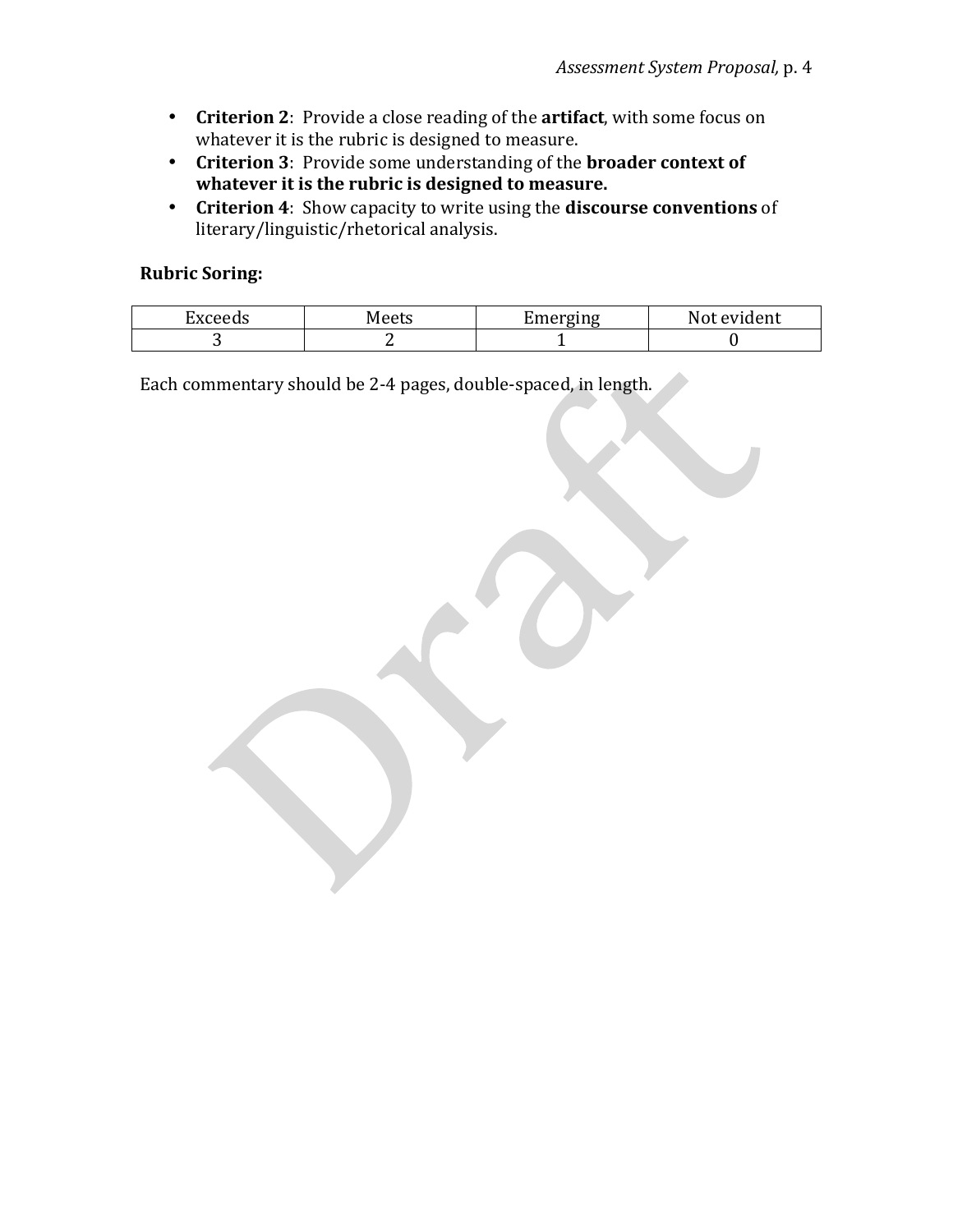- Criterion 2: Provide a close reading of the artifact, with some focus on whatever it is the rubric is designed to measure.
- Criterion 3: Provide some understanding of the **broader context of** whatever it is the rubric is designed to measure.
- **Criterion 4**: Show capacity to write using the **discourse conventions** of literary/linguistic/rhetorical analysis.

# **Rubric Soring:**

| −<br><br>ceeus<br>ΔXι | Meets | Ameroino<br>---- | /ident<br>ונזצו<br>. . |
|-----------------------|-------|------------------|------------------------|
|                       |       |                  |                        |

Each commentary should be 2-4 pages, double-spaced, in length.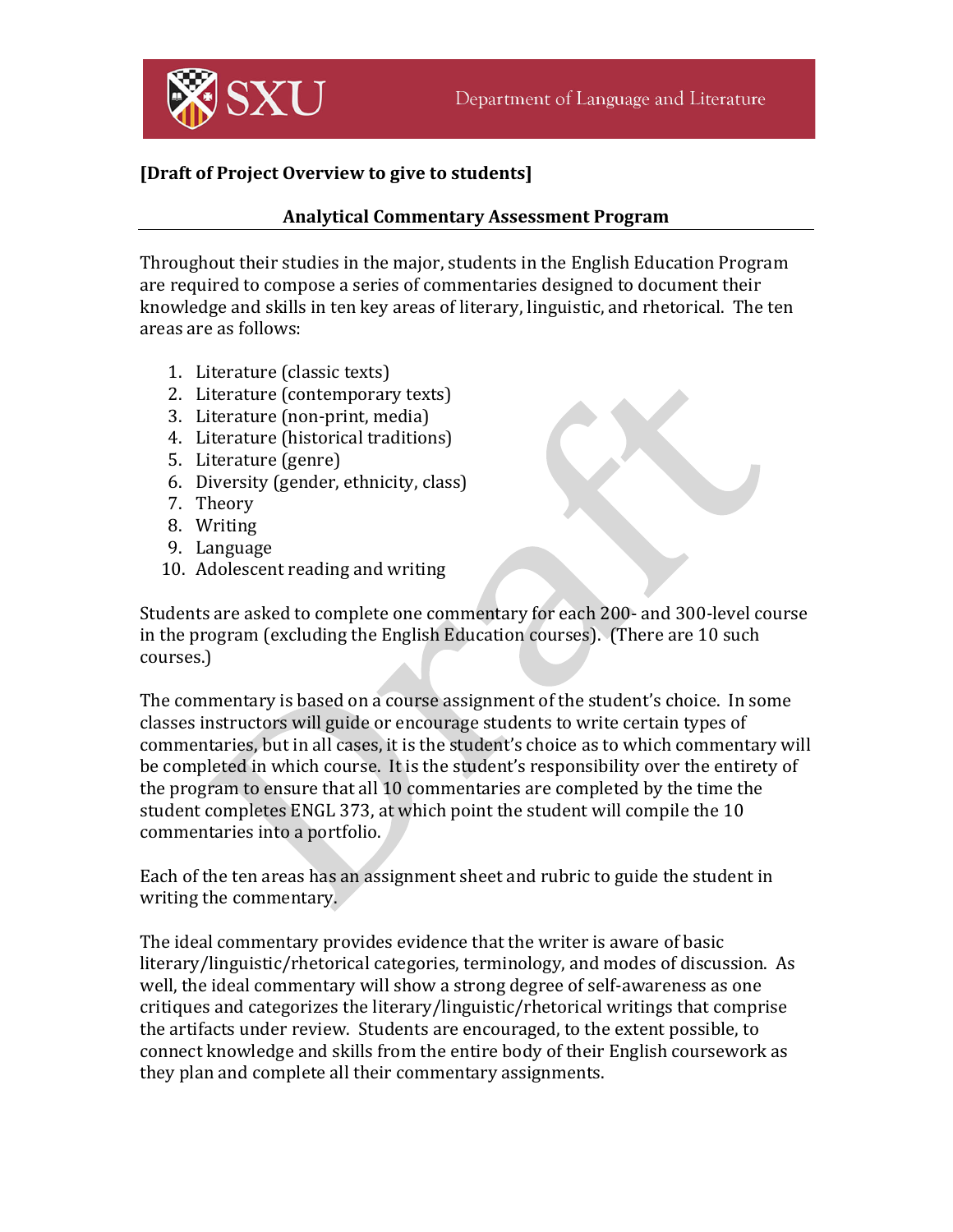

# [Draft of Project Overview to give to students]

### **Analytical Commentary Assessment Program**

Throughout their studies in the major, students in the English Education Program are required to compose a series of commentaries designed to document their knowledge and skills in ten key areas of literary, linguistic, and rhetorical. The ten areas are as follows:

- 1. Literature (classic texts)
- 2. Literature (contemporary texts)
- 3. Literature (non-print, media)
- 4. Literature (historical traditions)
- 5. Literature (genre)
- 6. Diversity (gender, ethnicity, class)
- 7. Theory
- 8. Writing
- 9. Language
- 10. Adolescent reading and writing

Students are asked to complete one commentary for each 200- and 300-level course in the program (excluding the English Education courses). (There are  $10 \text{ such }$ courses.)

The commentary is based on a course assignment of the student's choice. In some classes instructors will guide or encourage students to write certain types of commentaries, but in all cases, it is the student's choice as to which commentary will be completed in which course. It is the student's responsibility over the entirety of the program to ensure that all 10 commentaries are completed by the time the student completes ENGL 373, at which point the student will compile the 10 commentaries into a portfolio.

Each of the ten areas has an assignment sheet and rubric to guide the student in writing the commentary.

The ideal commentary provides evidence that the writer is aware of basic literary/linguistic/rhetorical categories, terminology, and modes of discussion. As well, the ideal commentary will show a strong degree of self-awareness as one critiques and categorizes the literary/linguistic/rhetorical writings that comprise the artifacts under review. Students are encouraged, to the extent possible, to connect knowledge and skills from the entire body of their English coursework as they plan and complete all their commentary assignments.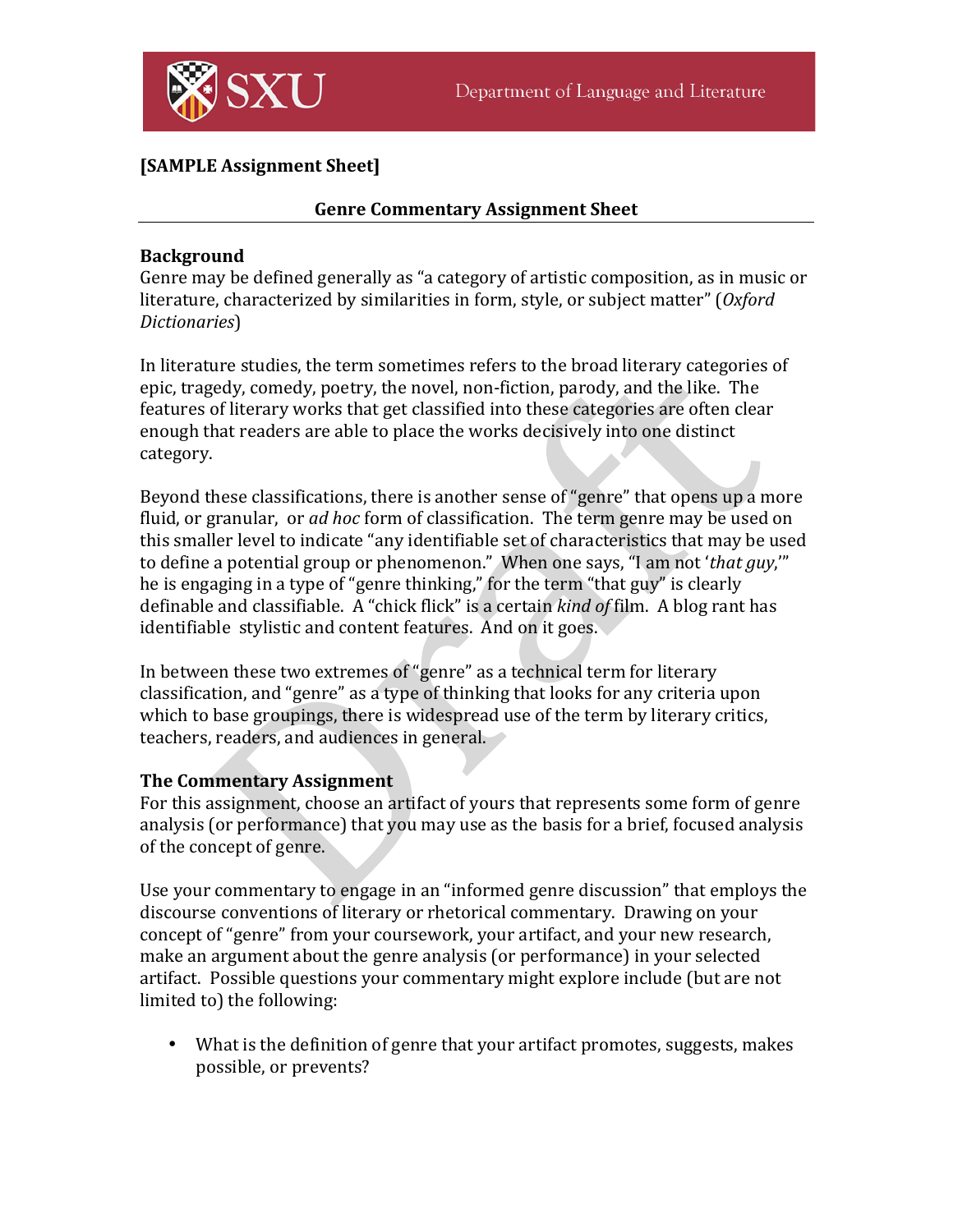

# **[SAMPLE Assignment Sheet]**

## **Genre Commentary Assignment Sheet**

### **Background**

Genre may be defined generally as "a category of artistic composition, as in music or literature, characterized by similarities in form, style, or subject matter" (Oxford *Dictionaries*)

In literature studies, the term sometimes refers to the broad literary categories of epic, tragedy, comedy, poetry, the novel, non-fiction, parody, and the like. The features of literary works that get classified into these categories are often clear enough that readers are able to place the works decisively into one distinct category.

Beyond these classifications, there is another sense of "genre" that opens up a more fluid, or granular, or *ad hoc* form of classification. The term genre may be used on this smaller level to indicate "any identifiable set of characteristics that may be used to define a potential group or phenomenon." When one says, "I am not '*that guy*," he is engaging in a type of "genre thinking," for the term "that guy" is clearly definable and classifiable. A "chick flick" is a certain *kind of* film. A blog rant has identifiable stylistic and content features. And on it goes.

In between these two extremes of "genre" as a technical term for literary classification, and "genre" as a type of thinking that looks for any criteria upon which to base groupings, there is widespread use of the term by literary critics, teachers, readers, and audiences in general.

### **The Commentary Assignment**

For this assignment, choose an artifact of yours that represents some form of genre analysis (or performance) that you may use as the basis for a brief, focused analysis of the concept of genre.

Use your commentary to engage in an "informed genre discussion" that employs the discourse conventions of literary or rhetorical commentary. Drawing on your concept of "genre" from your coursework, your artifact, and your new research, make an argument about the genre analysis (or performance) in your selected artifact. Possible questions your commentary might explore include (but are not limited to) the following:

• What is the definition of genre that your artifact promotes, suggests, makes possible, or prevents?